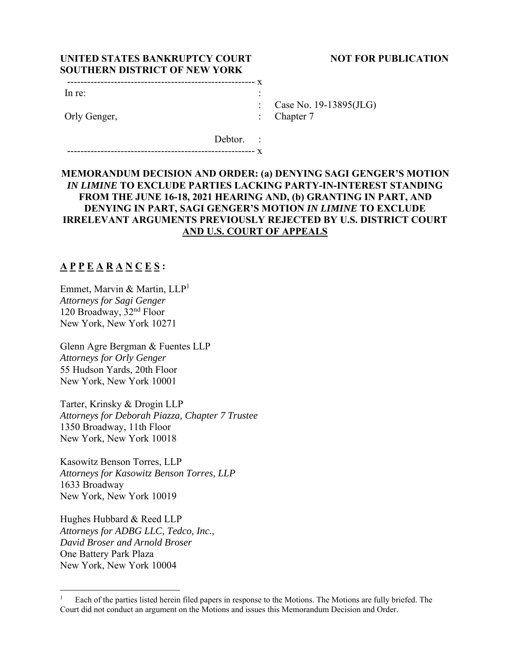## **UNITED STATES BANKRUPTCY COURT NOT FOR PUBLICATION SOUTHERN DISTRICT OF NEW YORK**

| In re:       |  |
|--------------|--|
|              |  |
| Orly Genger, |  |

Case No. 19-13895(JLG)

Chapter 7

 Debtor. : -------------------------------------------------------- x

# **MEMORANDUM DECISION AND ORDER: (a) DENYING SAGI GENGER'S MOTION** *IN LIMINE* **TO EXCLUDE PARTIES LACKING PARTY-IN-INTEREST STANDING FROM THE JUNE 16-18, 2021 HEARING AND, (b) GRANTING IN PART, AND DENYING IN PART, SAGI GENGER'S MOTION** *IN LIMINE* **TO EXCLUDE IRRELEVANT ARGUMENTS PREVIOUSLY REJECTED BY U.S. DISTRICT COURT AND U.S. COURT OF APPEALS**

# **A P P E A R A N C E S :**

Emmet, Marvin & Martin, LLP<sup>1</sup> *Attorneys for Sagi Genger*  120 Broadway, 32nd Floor New York, New York 10271

Glenn Agre Bergman & Fuentes LLP *Attorneys for Orly Genger*  55 Hudson Yards, 20th Floor New York, New York 10001

Tarter, Krinsky & Drogin LLP *Attorneys for Deborah Piazza, Chapter 7 Trustee*  1350 Broadway, 11th Floor New York, New York 10018

Kasowitz Benson Torres, LLP *Attorneys for Kasowitz Benson Torres, LLP*  1633 Broadway New York, New York 10019

Hughes Hubbard & Reed LLP *Attorneys for ADBG LLC, Tedco, Inc., David Broser and Arnold Broser*  One Battery Park Plaza New York, New York 10004

<sup>1</sup> Each of the parties listed herein filed papers in response to the Motions. The Motions are fully briefed. The Court did not conduct an argument on the Motions and issues this Memorandum Decision and Order.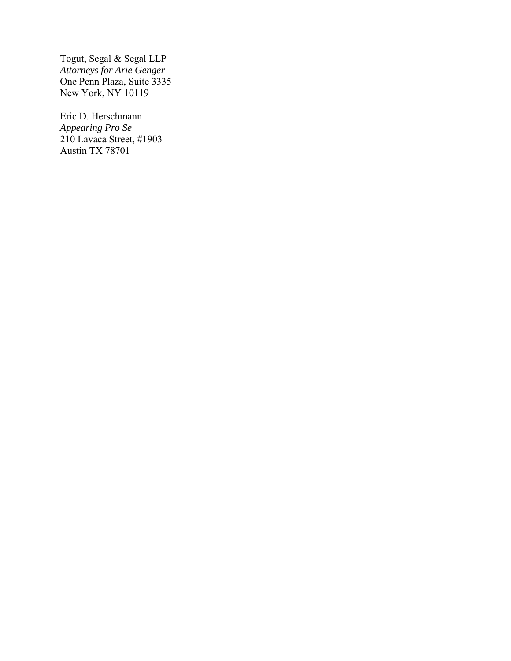Togut, Segal & Segal LLP *Attorneys for Arie Genger*  One Penn Plaza, Suite 3335 New York, NY 10119

Eric D. Herschmann *Appearing Pro Se*  210 Lavaca Street, #1903 Austin TX 78701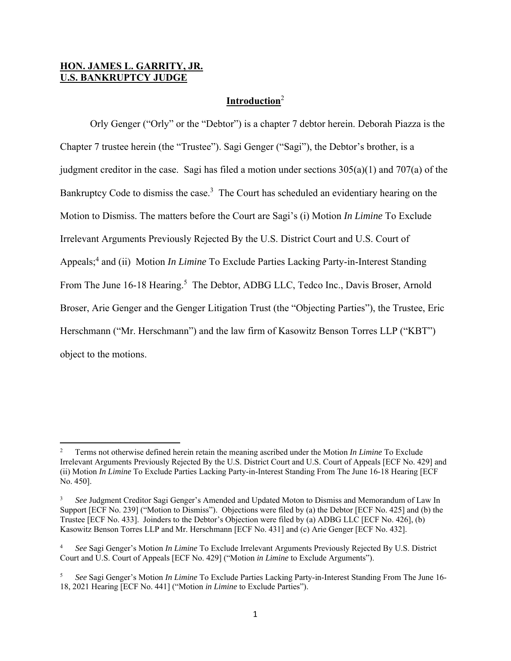## **HON. JAMES L. GARRITY, JR. U.S. BANKRUPTCY JUDGE**

## **Introduction**<sup>2</sup>

Orly Genger ("Orly" or the "Debtor") is a chapter 7 debtor herein. Deborah Piazza is the Chapter 7 trustee herein (the "Trustee"). Sagi Genger ("Sagi"), the Debtor's brother, is a judgment creditor in the case. Sagi has filed a motion under sections  $305(a)(1)$  and  $707(a)$  of the Bankruptcy Code to dismiss the case.<sup>3</sup> The Court has scheduled an evidentiary hearing on the Motion to Dismiss. The matters before the Court are Sagi's (i) Motion *In Limine* To Exclude Irrelevant Arguments Previously Rejected By the U.S. District Court and U.S. Court of Appeals;<sup>4</sup> and (ii) Motion *In Limine* To Exclude Parties Lacking Party-in-Interest Standing From The June 16-18 Hearing.<sup>5</sup> The Debtor, ADBG LLC, Tedco Inc., Davis Broser, Arnold Broser, Arie Genger and the Genger Litigation Trust (the "Objecting Parties"), the Trustee, Eric Herschmann ("Mr. Herschmann") and the law firm of Kasowitz Benson Torres LLP ("KBT") object to the motions.

<sup>2</sup> Terms not otherwise defined herein retain the meaning ascribed under the Motion *In Limine* To Exclude Irrelevant Arguments Previously Rejected By the U.S. District Court and U.S. Court of Appeals [ECF No. 429] and (ii) Motion *In Limine* To Exclude Parties Lacking Party-in-Interest Standing From The June 16-18 Hearing [ECF No. 450].

<sup>3</sup> *See* Judgment Creditor Sagi Genger's Amended and Updated Moton to Dismiss and Memorandum of Law In Support [ECF No. 239] ("Motion to Dismiss"). Objections were filed by (a) the Debtor [ECF No. 425] and (b) the Trustee [ECF No. 433]. Joinders to the Debtor's Objection were filed by (a) ADBG LLC [ECF No. 426], (b) Kasowitz Benson Torres LLP and Mr. Herschmann [ECF No. 431] and (c) Arie Genger [ECF No. 432].

<sup>4</sup> *See* Sagi Genger's Motion *In Limine* To Exclude Irrelevant Arguments Previously Rejected By U.S. District Court and U.S. Court of Appeals [ECF No. 429] ("Motion *in Limine* to Exclude Arguments").

<sup>5</sup> *See* Sagi Genger's Motion *In Limine* To Exclude Parties Lacking Party-in-Interest Standing From The June 16- 18, 2021 Hearing [ECF No. 441] ("Motion *in Limine* to Exclude Parties").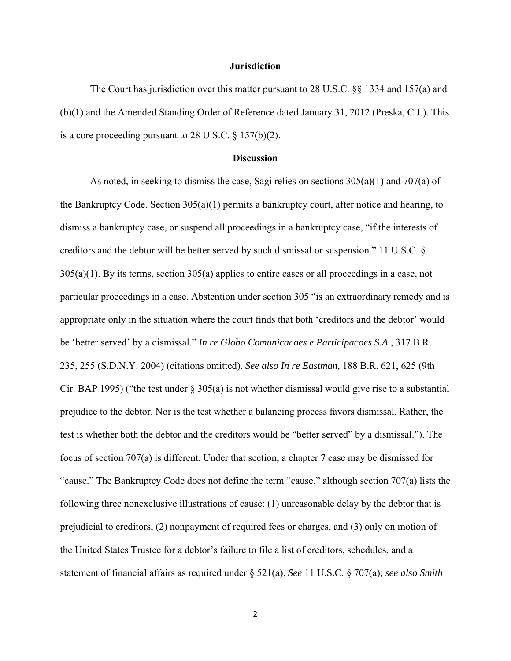### **Jurisdiction**

The Court has jurisdiction over this matter pursuant to 28 U.S.C. §§ 1334 and 157(a) and (b)(1) and the Amended Standing Order of Reference dated January 31, 2012 (Preska, C.J.). This is a core proceeding pursuant to 28 U.S.C. § 157(b)(2).

### **Discussion**

 As noted, in seeking to dismiss the case, Sagi relies on sections 305(a)(1) and 707(a) of the Bankruptcy Code. Section  $305(a)(1)$  permits a bankruptcy court, after notice and hearing, to dismiss a bankruptcy case, or suspend all proceedings in a bankruptcy case, "if the interests of creditors and the debtor will be better served by such dismissal or suspension." 11 U.S.C. § 305(a)(1). By its terms, section 305(a) applies to entire cases or all proceedings in a case, not particular proceedings in a case. Abstention under section 305 "is an extraordinary remedy and is appropriate only in the situation where the court finds that both 'creditors and the debtor' would be 'better served' by a dismissal." *In re Globo Comunicacoes e Participacoes S.A.*, 317 B.R. 235, 255 (S.D.N.Y. 2004) (citations omitted). *See also In re Eastman,* 188 B.R. 621, 625 (9th Cir. BAP 1995) ("the test under  $\S 305(a)$  is not whether dismissal would give rise to a substantial prejudice to the debtor. Nor is the test whether a balancing process favors dismissal. Rather, the test is whether both the debtor and the creditors would be "better served" by a dismissal."). The focus of section 707(a) is different. Under that section, a chapter 7 case may be dismissed for "cause." The Bankruptcy Code does not define the term "cause," although section 707(a) lists the following three nonexclusive illustrations of cause: (1) unreasonable delay by the debtor that is prejudicial to creditors, (2) nonpayment of required fees or charges, and (3) only on motion of the United States Trustee for a debtor's failure to file a list of creditors, schedules, and a statement of financial affairs as required under § 521(a). *See* 11 U.S.C. § 707(a); *see also Smith*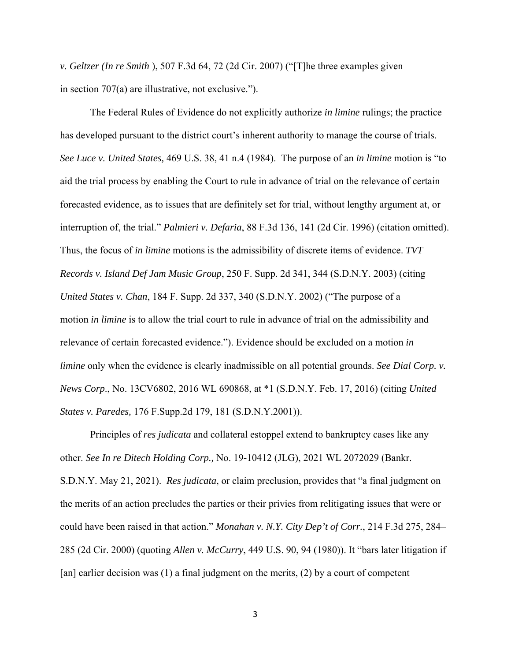*v. Geltzer (In re Smith* ), 507 F.3d 64, 72 (2d Cir. 2007) ("[T]he three examples given in section 707(a) are illustrative, not exclusive.").

 The Federal Rules of Evidence do not explicitly authorize *in limine* rulings; the practice has developed pursuant to the district court's inherent authority to manage the course of trials. *See Luce v. United States,* 469 U.S. 38, 41 n.4 (1984). The purpose of an *in limine* motion is "to aid the trial process by enabling the Court to rule in advance of trial on the relevance of certain forecasted evidence, as to issues that are definitely set for trial, without lengthy argument at, or interruption of, the trial." *Palmieri v. Defaria*, 88 F.3d 136, 141 (2d Cir. 1996) (citation omitted). Thus, the focus of *in limine* motions is the admissibility of discrete items of evidence. *TVT Records v. Island Def Jam Music Group*, 250 F. Supp. 2d 341, 344 (S.D.N.Y. 2003) (citing *United States v. Chan*, 184 F. Supp. 2d 337, 340 (S.D.N.Y. 2002) ("The purpose of a motion *in limine* is to allow the trial court to rule in advance of trial on the admissibility and relevance of certain forecasted evidence."). Evidence should be excluded on a motion *in limine* only when the evidence is clearly inadmissible on all potential grounds. *See Dial Corp. v. News Corp*., No. 13CV6802, 2016 WL 690868, at \*1 (S.D.N.Y. Feb. 17, 2016) (citing *United States v. Paredes,* 176 F.Supp.2d 179, 181 (S.D.N.Y.2001)).

 Principles of *res judicata* and collateral estoppel extend to bankruptcy cases like any other. *See In re Ditech Holding Corp.,* No. 19-10412 (JLG), 2021 WL 2072029 (Bankr. S.D.N.Y. May 21, 2021). *Res judicata*, or claim preclusion, provides that "a final judgment on the merits of an action precludes the parties or their privies from relitigating issues that were or could have been raised in that action." *Monahan v. N.Y. City Dep't of Corr.*, 214 F.3d 275, 284– 285 (2d Cir. 2000) (quoting *Allen v. McCurry*, 449 U.S. 90, 94 (1980)). It "bars later litigation if [an] earlier decision was (1) a final judgment on the merits, (2) by a court of competent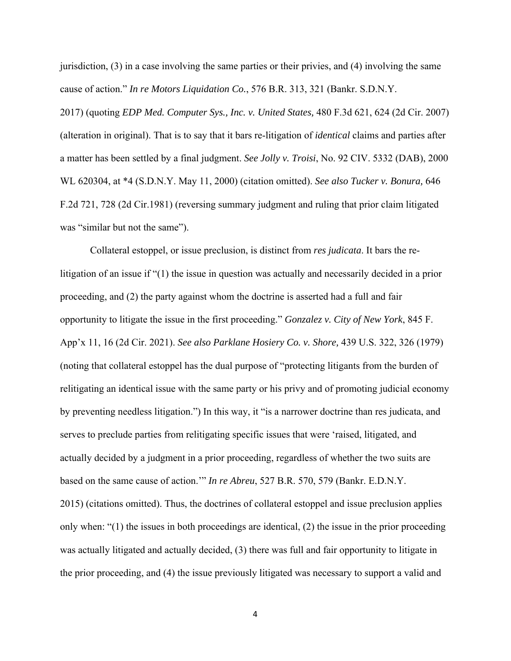jurisdiction, (3) in a case involving the same parties or their privies, and (4) involving the same cause of action." *In re Motors Liquidation Co.*, 576 B.R. 313, 321 (Bankr. S.D.N.Y.

2017) (quoting *EDP Med. Computer Sys., Inc. v. United States,* 480 F.3d 621, 624 (2d Cir. 2007) (alteration in original). That is to say that it bars re-litigation of *identical* claims and parties after a matter has been settled by a final judgment. *See Jolly v. Troisi*, No. 92 CIV. 5332 (DAB), 2000 WL 620304, at \*4 (S.D.N.Y. May 11, 2000) (citation omitted). *See also Tucker v. Bonura,* 646 F.2d 721, 728 (2d Cir.1981) (reversing summary judgment and ruling that prior claim litigated was "similar but not the same").

 Collateral estoppel, or issue preclusion, is distinct from *res judicata*. It bars the relitigation of an issue if "(1) the issue in question was actually and necessarily decided in a prior proceeding, and (2) the party against whom the doctrine is asserted had a full and fair opportunity to litigate the issue in the first proceeding." *Gonzalez v. City of New York*, 845 F. App'x 11, 16 (2d Cir. 2021). *See also Parklane Hosiery Co. v. Shore,* 439 U.S. 322, 326 (1979) (noting that collateral estoppel has the dual purpose of "protecting litigants from the burden of relitigating an identical issue with the same party or his privy and of promoting judicial economy by preventing needless litigation.") In this way, it "is a narrower doctrine than res judicata, and serves to preclude parties from relitigating specific issues that were 'raised, litigated, and actually decided by a judgment in a prior proceeding, regardless of whether the two suits are based on the same cause of action.'" *In re Abreu*, 527 B.R. 570, 579 (Bankr. E.D.N.Y. 2015) (citations omitted). Thus, the doctrines of collateral estoppel and issue preclusion applies only when: "(1) the issues in both proceedings are identical, (2) the issue in the prior proceeding was actually litigated and actually decided, (3) there was full and fair opportunity to litigate in the prior proceeding, and (4) the issue previously litigated was necessary to support a valid and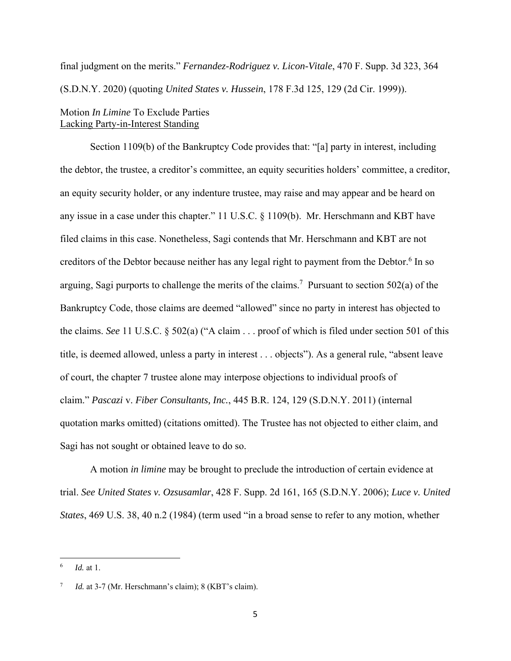final judgment on the merits." *Fernandez-Rodriguez v. Licon-Vitale*, 470 F. Supp. 3d 323, 364 (S.D.N.Y. 2020) (quoting *United States v. Hussein*, 178 F.3d 125, 129 (2d Cir. 1999)).

## Motion *In Limine* To Exclude Parties Lacking Party-in-Interest Standing

 Section 1109(b) of the Bankruptcy Code provides that: "[a] party in interest, including the debtor, the trustee, a creditor's committee, an equity securities holders' committee, a creditor, an equity security holder, or any indenture trustee, may raise and may appear and be heard on any issue in a case under this chapter." 11 U.S.C. § 1109(b). Mr. Herschmann and KBT have filed claims in this case. Nonetheless, Sagi contends that Mr. Herschmann and KBT are not creditors of the Debtor because neither has any legal right to payment from the Debtor.<sup>6</sup> In so arguing, Sagi purports to challenge the merits of the claims.<sup>7</sup> Pursuant to section 502(a) of the Bankruptcy Code, those claims are deemed "allowed" since no party in interest has objected to the claims. *See* 11 U.S.C. § 502(a) ("A claim . . . proof of which is filed under section 501 of this title, is deemed allowed, unless a party in interest . . . objects"). As a general rule, "absent leave of court, the chapter 7 trustee alone may interpose objections to individual proofs of claim." *Pascazi* v. *Fiber Consultants, Inc.*, 445 B.R. 124, 129 (S.D.N.Y. 2011) (internal quotation marks omitted) (citations omitted). The Trustee has not objected to either claim, and Sagi has not sought or obtained leave to do so.

 A motion *in limine* may be brought to preclude the introduction of certain evidence at trial. *See United States v. Ozsusamlar*, 428 F. Supp. 2d 161, 165 (S.D.N.Y. 2006); *Luce v. United States*, 469 U.S. 38, 40 n.2 (1984) (term used "in a broad sense to refer to any motion, whether

<sup>6</sup> *Id.* at 1.

<sup>7</sup> *Id.* at 3-7 (Mr. Herschmann's claim); 8 (KBT's claim).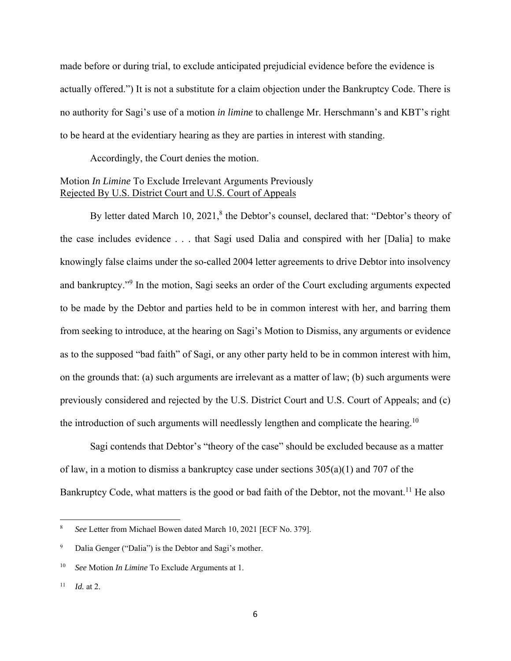made before or during trial, to exclude anticipated prejudicial evidence before the evidence is actually offered.") It is not a substitute for a claim objection under the Bankruptcy Code. There is no authority for Sagi's use of a motion *in limine* to challenge Mr. Herschmann's and KBT's right to be heard at the evidentiary hearing as they are parties in interest with standing.

Accordingly, the Court denies the motion.

## Motion *In Limine* To Exclude Irrelevant Arguments Previously Rejected By U.S. District Court and U.S. Court of Appeals

By letter dated March 10,  $2021$ ,<sup>8</sup> the Debtor's counsel, declared that: "Debtor's theory of the case includes evidence . . . that Sagi used Dalia and conspired with her [Dalia] to make knowingly false claims under the so-called 2004 letter agreements to drive Debtor into insolvency and bankruptcy."<sup>9</sup> In the motion, Sagi seeks an order of the Court excluding arguments expected to be made by the Debtor and parties held to be in common interest with her, and barring them from seeking to introduce, at the hearing on Sagi's Motion to Dismiss, any arguments or evidence as to the supposed "bad faith" of Sagi, or any other party held to be in common interest with him, on the grounds that: (a) such arguments are irrelevant as a matter of law; (b) such arguments were previously considered and rejected by the U.S. District Court and U.S. Court of Appeals; and (c) the introduction of such arguments will needlessly lengthen and complicate the hearing.<sup>10</sup>

 Sagi contends that Debtor's "theory of the case" should be excluded because as a matter of law, in a motion to dismiss a bankruptcy case under sections  $305(a)(1)$  and 707 of the Bankruptcy Code, what matters is the good or bad faith of the Debtor, not the movant.<sup>11</sup> He also

<sup>8</sup> *See* Letter from Michael Bowen dated March 10, 2021 [ECF No. 379].

<sup>9</sup> Dalia Genger ("Dalia") is the Debtor and Sagi's mother.

<sup>10</sup> *See* Motion *In Limine* To Exclude Arguments at 1.

 $11$  *Id.* at 2.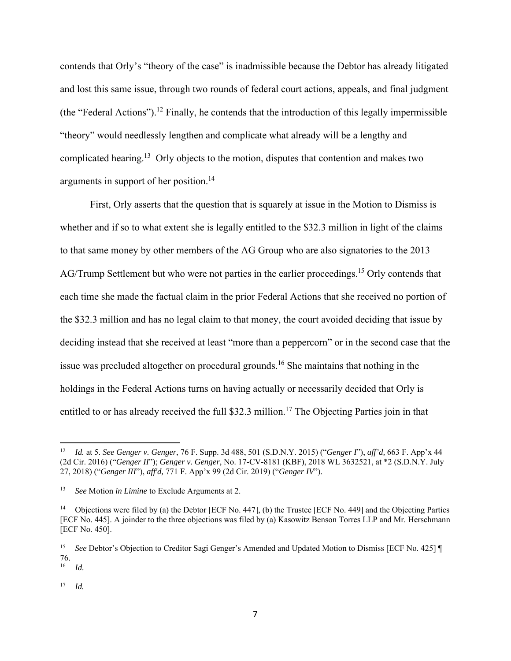contends that Orly's "theory of the case" is inadmissible because the Debtor has already litigated and lost this same issue, through two rounds of federal court actions, appeals, and final judgment (the "Federal Actions").<sup>12</sup> Finally, he contends that the introduction of this legally impermissible "theory" would needlessly lengthen and complicate what already will be a lengthy and complicated hearing.<sup>13</sup> Orly objects to the motion, disputes that contention and makes two arguments in support of her position.14

First, Orly asserts that the question that is squarely at issue in the Motion to Dismiss is whether and if so to what extent she is legally entitled to the \$32.3 million in light of the claims to that same money by other members of the AG Group who are also signatories to the 2013 AG/Trump Settlement but who were not parties in the earlier proceedings.<sup>15</sup> Orly contends that each time she made the factual claim in the prior Federal Actions that she received no portion of the \$32.3 million and has no legal claim to that money, the court avoided deciding that issue by deciding instead that she received at least "more than a peppercorn" or in the second case that the issue was precluded altogether on procedural grounds.16 She maintains that nothing in the holdings in the Federal Actions turns on having actually or necessarily decided that Orly is entitled to or has already received the full \$32.3 million.<sup>17</sup> The Objecting Parties join in that

<sup>17</sup> *Id.* 

<sup>12</sup> *Id.* at 5. *See Genger v. Genger*, 76 F. Supp. 3d 488, 501 (S.D.N.Y. 2015) ("*Genger I*"), *aff'd,* 663 F. App'x 44 (2d Cir. 2016) ("*Genger II*"); *Genger v. Genger*, No. 17-CV-8181 (KBF), 2018 WL 3632521, at \*2 (S.D.N.Y. July 27, 2018) ("*Genger III*"), *aff'd,* 771 F. App'x 99 (2d Cir. 2019) ("*Genger IV*").

<sup>13</sup> *See* Motion *in Limine* to Exclude Arguments at 2.

<sup>14</sup> Objections were filed by (a) the Debtor [ECF No. 447], (b) the Trustee [ECF No. 449] and the Objecting Parties [ECF No. 445]. A joinder to the three objections was filed by (a) Kasowitz Benson Torres LLP and Mr. Herschmann [ECF No. 450].

<sup>15</sup> *See* Debtor's Objection to Creditor Sagi Genger's Amended and Updated Motion to Dismiss [ECF No. 425] ¶  $\frac{76}{16}$ 

<sup>16</sup> *Id.*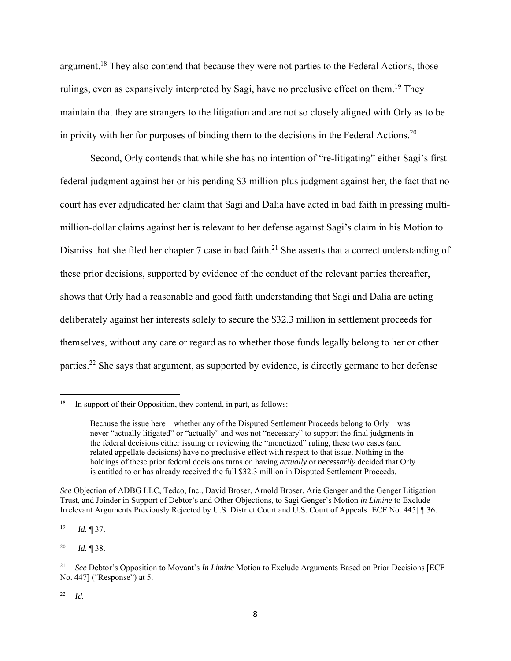argument.<sup>18</sup> They also contend that because they were not parties to the Federal Actions, those rulings, even as expansively interpreted by Sagi, have no preclusive effect on them.<sup>19</sup> They maintain that they are strangers to the litigation and are not so closely aligned with Orly as to be in privity with her for purposes of binding them to the decisions in the Federal Actions.<sup>20</sup>

 Second, Orly contends that while she has no intention of "re-litigating" either Sagi's first federal judgment against her or his pending \$3 million-plus judgment against her, the fact that no court has ever adjudicated her claim that Sagi and Dalia have acted in bad faith in pressing multimillion-dollar claims against her is relevant to her defense against Sagi's claim in his Motion to Dismiss that she filed her chapter 7 case in bad faith.<sup>21</sup> She asserts that a correct understanding of these prior decisions, supported by evidence of the conduct of the relevant parties thereafter, shows that Orly had a reasonable and good faith understanding that Sagi and Dalia are acting deliberately against her interests solely to secure the \$32.3 million in settlement proceeds for themselves, without any care or regard as to whether those funds legally belong to her or other parties.<sup>22</sup> She says that argument, as supported by evidence, is directly germane to her defense

*See* Objection of ADBG LLC, Tedco, Inc., David Broser, Arnold Broser, Arie Genger and the Genger Litigation Trust, and Joinder in Support of Debtor's and Other Objections, to Sagi Genger's Motion *in Limine* to Exclude Irrelevant Arguments Previously Rejected by U.S. District Court and U.S. Court of Appeals [ECF No. 445] ¶ 36.

 $18$  In support of their Opposition, they contend, in part, as follows:

Because the issue here – whether any of the Disputed Settlement Proceeds belong to Orly – was never "actually litigated" or "actually" and was not "necessary" to support the final judgments in the federal decisions either issuing or reviewing the "monetized" ruling, these two cases (and related appellate decisions) have no preclusive effect with respect to that issue. Nothing in the holdings of these prior federal decisions turns on having *actually* or *necessarily* decided that Orly is entitled to or has already received the full \$32.3 million in Disputed Settlement Proceeds.

<sup>19</sup> *Id.* ¶ 37.

<sup>20</sup> *Id.* ¶ 38.

<sup>21</sup> *See* Debtor's Opposition to Movant's *In Limine* Motion to Exclude Arguments Based on Prior Decisions [ECF No. 447] ("Response") at 5.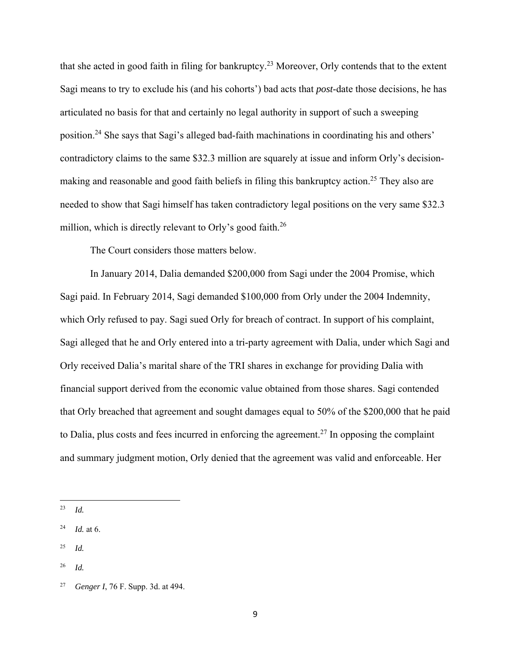that she acted in good faith in filing for bankruptcy.23 Moreover, Orly contends that to the extent Sagi means to try to exclude his (and his cohorts') bad acts that *post*-date those decisions, he has articulated no basis for that and certainly no legal authority in support of such a sweeping position.24 She says that Sagi's alleged bad-faith machinations in coordinating his and others' contradictory claims to the same \$32.3 million are squarely at issue and inform Orly's decisionmaking and reasonable and good faith beliefs in filing this bankruptcy action.<sup>25</sup> They also are needed to show that Sagi himself has taken contradictory legal positions on the very same \$32.3 million, which is directly relevant to Orly's good faith.<sup>26</sup>

The Court considers those matters below.

 In January 2014, Dalia demanded \$200,000 from Sagi under the 2004 Promise, which Sagi paid. In February 2014, Sagi demanded \$100,000 from Orly under the 2004 Indemnity, which Orly refused to pay. Sagi sued Orly for breach of contract. In support of his complaint, Sagi alleged that he and Orly entered into a tri-party agreement with Dalia, under which Sagi and Orly received Dalia's marital share of the TRI shares in exchange for providing Dalia with financial support derived from the economic value obtained from those shares. Sagi contended that Orly breached that agreement and sought damages equal to 50% of the \$200,000 that he paid to Dalia, plus costs and fees incurred in enforcing the agreement.<sup>27</sup> In opposing the complaint and summary judgment motion, Orly denied that the agreement was valid and enforceable. Her

 $^{25}$  *Id.* 

<sup>23</sup> *Id.*

<sup>24</sup> *Id.* at 6.

<sup>26</sup> *Id.*

<sup>27</sup> *Genger I*, 76 F. Supp. 3d. at 494.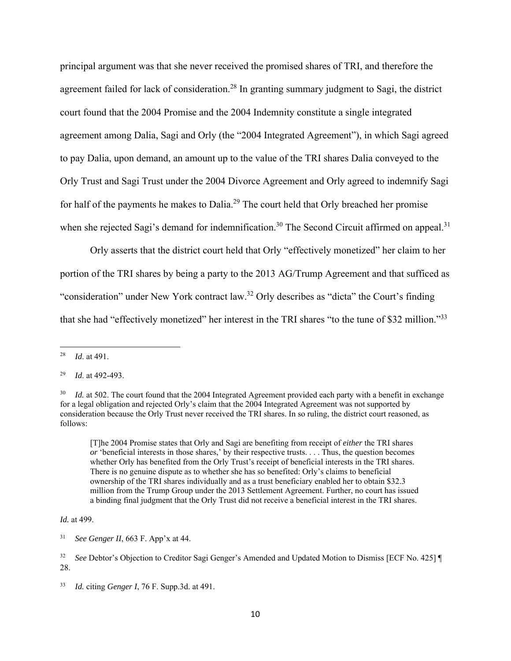principal argument was that she never received the promised shares of TRI, and therefore the agreement failed for lack of consideration.<sup>28</sup> In granting summary judgment to Sagi, the district court found that the 2004 Promise and the 2004 Indemnity constitute a single integrated agreement among Dalia, Sagi and Orly (the "2004 Integrated Agreement"), in which Sagi agreed to pay Dalia, upon demand, an amount up to the value of the TRI shares Dalia conveyed to the Orly Trust and Sagi Trust under the 2004 Divorce Agreement and Orly agreed to indemnify Sagi for half of the payments he makes to Dalia.<sup>29</sup> The court held that Orly breached her promise when she rejected Sagi's demand for indemnification.<sup>30</sup> The Second Circuit affirmed on appeal.<sup>31</sup>

Orly asserts that the district court held that Orly "effectively monetized" her claim to her portion of the TRI shares by being a party to the 2013 AG/Trump Agreement and that sufficed as "consideration" under New York contract law.32 Orly describes as "dicta" the Court's finding that she had "effectively monetized" her interest in the TRI shares "to the tune of \$32 million."33

[T]he 2004 Promise states that Orly and Sagi are benefiting from receipt of *either* the TRI shares *or* 'beneficial interests in those shares,' by their respective trusts. . . . Thus, the question becomes whether Orly has benefited from the Orly Trust's receipt of beneficial interests in the TRI shares. There is no genuine dispute as to whether she has so benefited: Orly's claims to beneficial ownership of the TRI shares individually and as a trust beneficiary enabled her to obtain \$32.3 million from the Trump Group under the 2013 Settlement Agreement. Further, no court has issued a binding final judgment that the Orly Trust did not receive a beneficial interest in the TRI shares.

## *Id.* at 499.

<sup>28</sup> *Id*. at 491.

<sup>29</sup> *Id*. at 492-493.

<sup>&</sup>lt;sup>30</sup> *Id.* at 502. The court found that the 2004 Integrated Agreement provided each party with a benefit in exchange for a legal obligation and rejected Orly's claim that the 2004 Integrated Agreement was not supported by consideration because the Orly Trust never received the TRI shares. In so ruling, the district court reasoned, as follows:

<sup>31</sup> *See Genger II*, 663 F. App'x at 44.

<sup>32</sup> *See* Debtor's Objection to Creditor Sagi Genger's Amended and Updated Motion to Dismiss [ECF No. 425] ¶ 28.

<sup>33</sup> *Id.* citing *Genger I*, 76 F. Supp.3d. at 491.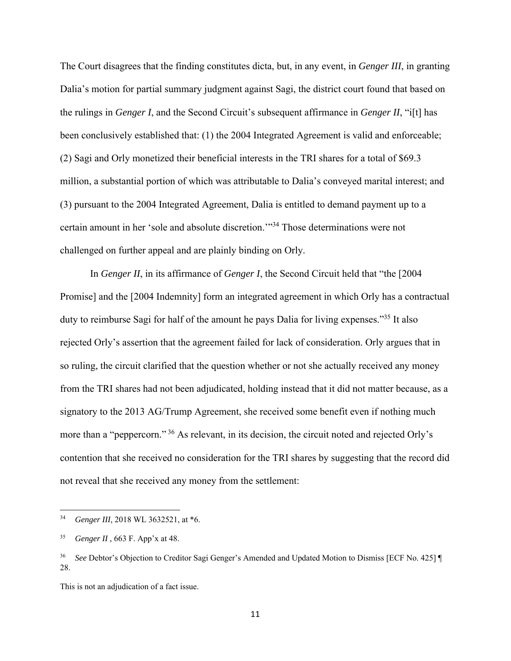The Court disagrees that the finding constitutes dicta, but, in any event, in *Genger III*, in granting Dalia's motion for partial summary judgment against Sagi, the district court found that based on the rulings in *Genger I*, and the Second Circuit's subsequent affirmance in *Genger II*, "i[t] has been conclusively established that: (1) the 2004 Integrated Agreement is valid and enforceable; (2) Sagi and Orly monetized their beneficial interests in the TRI shares for a total of \$69.3 million, a substantial portion of which was attributable to Dalia's conveyed marital interest; and (3) pursuant to the 2004 Integrated Agreement, Dalia is entitled to demand payment up to a certain amount in her 'sole and absolute discretion.'"34 Those determinations were not challenged on further appeal and are plainly binding on Orly.

 In *Genger II*, in its affirmance of *Genger I*, the Second Circuit held that "the [2004 Promise] and the [2004 Indemnity] form an integrated agreement in which Orly has a contractual duty to reimburse Sagi for half of the amount he pays Dalia for living expenses."<sup>35</sup> It also rejected Orly's assertion that the agreement failed for lack of consideration. Orly argues that in so ruling, the circuit clarified that the question whether or not she actually received any money from the TRI shares had not been adjudicated, holding instead that it did not matter because, as a signatory to the 2013 AG/Trump Agreement, she received some benefit even if nothing much more than a "peppercorn."<sup>36</sup> As relevant, in its decision, the circuit noted and rejected Orly's contention that she received no consideration for the TRI shares by suggesting that the record did not reveal that she received any money from the settlement:

This is not an adjudication of a fact issue.

<sup>34</sup> *Genger III,* 2018 WL 3632521, at \*6.

<sup>35</sup> *Genger II ,* 663 F. App'x at 48.

<sup>36</sup> *See* Debtor's Objection to Creditor Sagi Genger's Amended and Updated Motion to Dismiss [ECF No. 425] ¶ 28.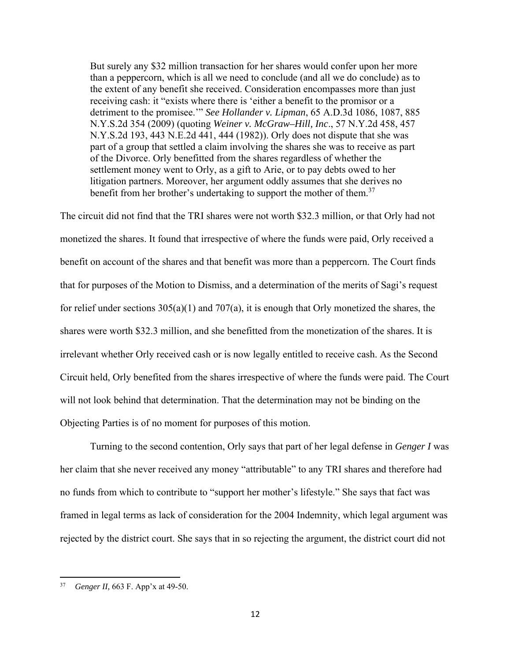But surely any \$32 million transaction for her shares would confer upon her more than a peppercorn, which is all we need to conclude (and all we do conclude) as to the extent of any benefit she received. Consideration encompasses more than just receiving cash: it "exists where there is 'either a benefit to the promisor or a detriment to the promisee.'" *See Hollander v. Lipman*, 65 A.D.3d 1086, 1087, 885 N.Y.S.2d 354 (2009) (quoting *Weiner v. McGraw–Hill, Inc*., 57 N.Y.2d 458, 457 N.Y.S.2d 193, 443 N.E.2d 441, 444 (1982)). Orly does not dispute that she was part of a group that settled a claim involving the shares she was to receive as part of the Divorce. Orly benefitted from the shares regardless of whether the settlement money went to Orly, as a gift to Arie, or to pay debts owed to her litigation partners. Moreover, her argument oddly assumes that she derives no benefit from her brother's undertaking to support the mother of them.<sup>37</sup>

The circuit did not find that the TRI shares were not worth \$32.3 million, or that Orly had not monetized the shares. It found that irrespective of where the funds were paid, Orly received a benefit on account of the shares and that benefit was more than a peppercorn. The Court finds that for purposes of the Motion to Dismiss, and a determination of the merits of Sagi's request for relief under sections  $305(a)(1)$  and  $707(a)$ , it is enough that Orly monetized the shares, the shares were worth \$32.3 million, and she benefitted from the monetization of the shares. It is irrelevant whether Orly received cash or is now legally entitled to receive cash. As the Second Circuit held, Orly benefited from the shares irrespective of where the funds were paid. The Court will not look behind that determination. That the determination may not be binding on the Objecting Parties is of no moment for purposes of this motion.

Turning to the second contention, Orly says that part of her legal defense in *Genger I* was her claim that she never received any money "attributable" to any TRI shares and therefore had no funds from which to contribute to "support her mother's lifestyle." She says that fact was framed in legal terms as lack of consideration for the 2004 Indemnity, which legal argument was rejected by the district court. She says that in so rejecting the argument, the district court did not

<sup>37</sup> *Genger II,* 663 F. App'x at 49-50.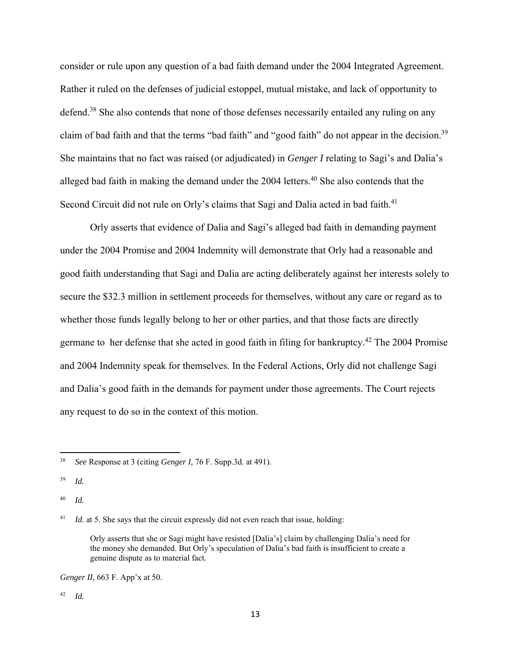consider or rule upon any question of a bad faith demand under the 2004 Integrated Agreement. Rather it ruled on the defenses of judicial estoppel, mutual mistake, and lack of opportunity to defend.<sup>38</sup> She also contends that none of those defenses necessarily entailed any ruling on any claim of bad faith and that the terms "bad faith" and "good faith" do not appear in the decision.<sup>39</sup> She maintains that no fact was raised (or adjudicated) in *Genger I* relating to Sagi's and Dalia's alleged bad faith in making the demand under the  $2004$  letters.<sup>40</sup> She also contends that the Second Circuit did not rule on Orly's claims that Sagi and Dalia acted in bad faith.<sup>41</sup>

 Orly asserts that evidence of Dalia and Sagi's alleged bad faith in demanding payment under the 2004 Promise and 2004 Indemnity will demonstrate that Orly had a reasonable and good faith understanding that Sagi and Dalia are acting deliberately against her interests solely to secure the \$32.3 million in settlement proceeds for themselves, without any care or regard as to whether those funds legally belong to her or other parties, and that those facts are directly germane to her defense that she acted in good faith in filing for bankruptcy.<sup>42</sup> The 2004 Promise and 2004 Indemnity speak for themselves. In the Federal Actions, Orly did not challenge Sagi and Dalia's good faith in the demands for payment under those agreements. The Court rejects any request to do so in the context of this motion.

<sup>41</sup> *Id.* at 5. She says that the circuit expressly did not even reach that issue, holding:

Orly asserts that she or Sagi might have resisted [Dalia's] claim by challenging Dalia's need for the money she demanded. But Orly's speculation of Dalia's bad faith is insufficient to create a genuine dispute as to material fact.

*Genger II*, 663 F. App'x at 50.

42 *Id.*

<sup>38</sup> *See* Response at 3 (citing *Genger I,* 76 F. Supp.3d. at 491).

<sup>39</sup> *Id.* 

<sup>40</sup> *Id.*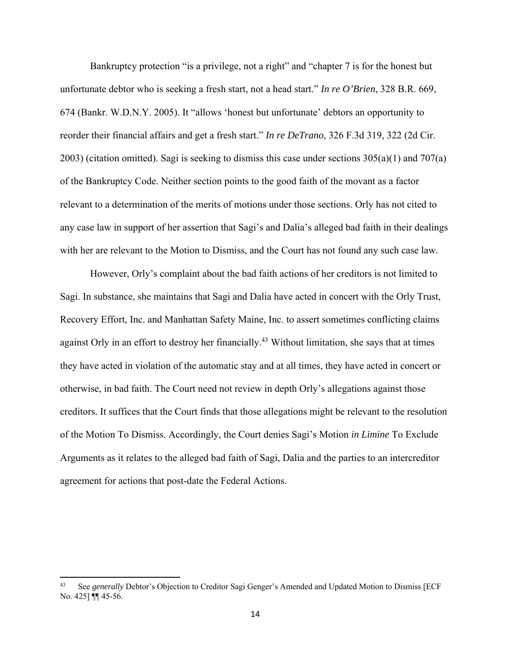Bankruptcy protection "is a privilege, not a right" and "chapter 7 is for the honest but unfortunate debtor who is seeking a fresh start, not a head start." *In re O'Brien*, 328 B.R. 669, 674 (Bankr. W.D.N.Y. 2005). It "allows 'honest but unfortunate' debtors an opportunity to reorder their financial affairs and get a fresh start." *In re DeTrano*, 326 F.3d 319, 322 (2d Cir. 2003) (citation omitted). Sagi is seeking to dismiss this case under sections  $305(a)(1)$  and  $707(a)$ of the Bankruptcy Code. Neither section points to the good faith of the movant as a factor relevant to a determination of the merits of motions under those sections. Orly has not cited to any case law in support of her assertion that Sagi's and Dalia's alleged bad faith in their dealings with her are relevant to the Motion to Dismiss, and the Court has not found any such case law.

However, Orly's complaint about the bad faith actions of her creditors is not limited to Sagi. In substance, she maintains that Sagi and Dalia have acted in concert with the Orly Trust, Recovery Effort, Inc. and Manhattan Safety Maine, Inc. to assert sometimes conflicting claims against Orly in an effort to destroy her financially.<sup>43</sup> Without limitation, she says that at times they have acted in violation of the automatic stay and at all times, they have acted in concert or otherwise, in bad faith. The Court need not review in depth Orly's allegations against those creditors. It suffices that the Court finds that those allegations might be relevant to the resolution of the Motion To Dismiss. Accordingly, the Court denies Sagi's Motion *in Limine* To Exclude Arguments as it relates to the alleged bad faith of Sagi, Dalia and the parties to an intercreditor agreement for actions that post-date the Federal Actions.

See *generally* Debtor's Objection to Creditor Sagi Genger's Amended and Updated Motion to Dismiss [ECF No. 425] ¶¶ 45-56.